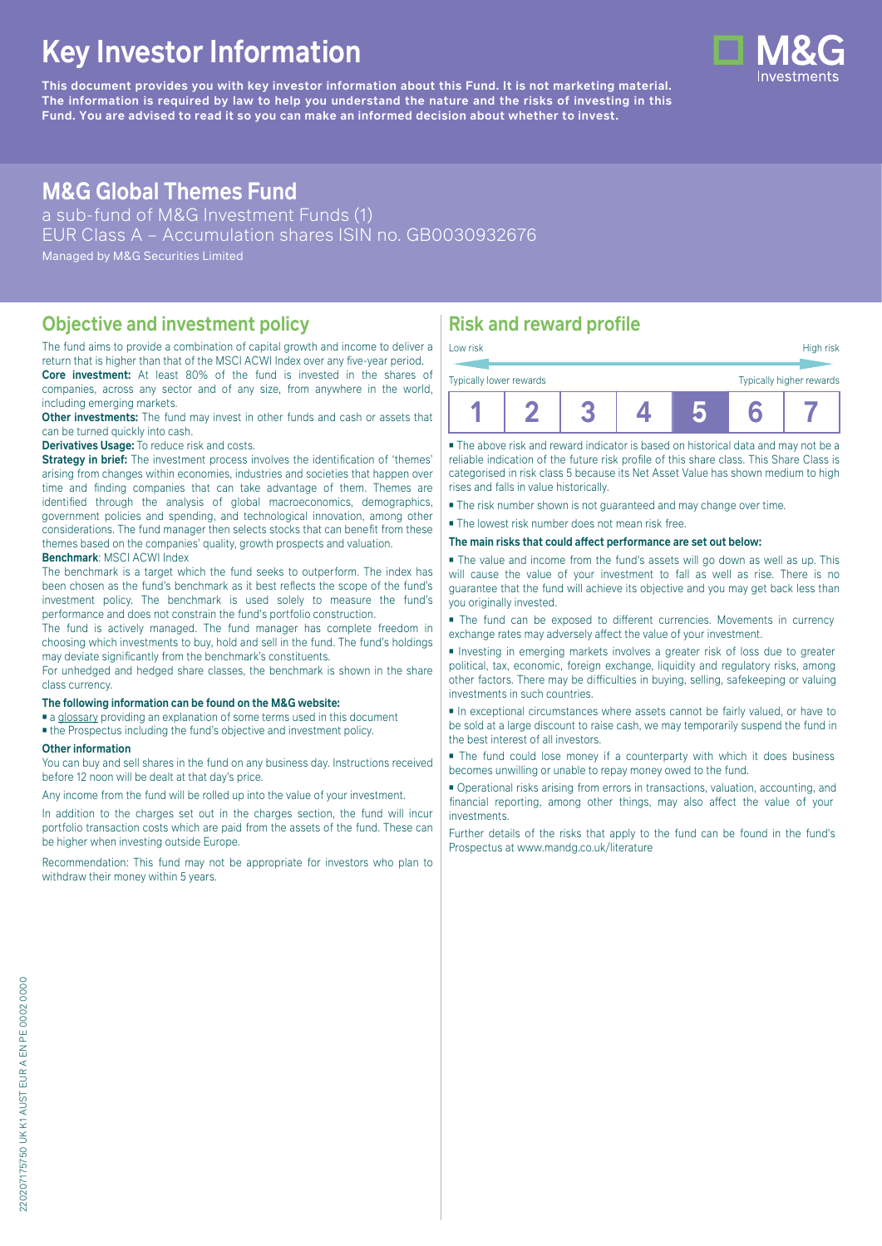# **Key Investor Information**

**This document provides you with key investor information about this Fund. It is not marketing material.** The information is required by law to help you understand the nature and the risks of investing in this **Fund. You are advised to read it so you can make an informed decision about whether to invest.**

## **M&G Global Themes Fund**

a sub-fund of M&G Investment Funds (1) EUR Class A – Accumulation shares ISIN no. GB0030932676 Managed by M&G Securities Limited

#### **Objective and investment policy**

The fund aims to provide a combination of capital growth and income to deliver a return that is higher than that of the MSCI ACWI Index over any five-year period. **Core investment:** At least 80% of the fund is invested in the shares of

companies, across any sector and of any size, from anywhere in the world, including emerging markets.

**Other investments:** The fund may invest in other funds and cash or assets that can be turned quickly into cash.

**Derivatives Usage:** To reduce risk and costs.

**Strategy in brief:** The investment process involves the identification of 'themes' arising from changes within economies, industries and societies that happen over time and finding companies that can take advantage of them. Themes are identified through the analysis of global macroeconomics, demographics, government policies and spending, and technological innovation, among other considerations. The fund manager then selects stocks that can benefit from these themes based on the companies' quality, growth prospects and valuation. **Benchmark**: MSCI ACWI Index

The benchmark is a target which the fund seeks to outperform. The index has been chosen as the fund's benchmark as it best reflects the scope of the fund's investment policy. The benchmark is used solely to measure the fund's performance and does not constrain the fund's portfolio construction.

The fund is actively managed. The fund manager has complete freedom in choosing which investments to buy, hold and sell in the fund. The fund's holdings may deviate significantly from the benchmark's constituents.

For unhedged and hedged share classes, the benchmark is shown in the share class currency.

#### **The following information can be found on the M&G website:**

■ [a glossary](https://docs.mandg.com/docs/glossary-master-en.pdf) providing an explanation of some terms used in this document

■ the Prospectus including the fund's objective and investment policy.

#### **Other information**

You can buy and sell shares in the fund on any business day. Instructions received before 12 noon will be dealt at that day's price.

Any income from the fund will be rolled up into the value of your investment.

In addition to the charges set out in the charges section, the fund will incur portfolio transaction costs which are paid from the assets of the fund. These can be higher when investing outside Europe.

Recommendation: This fund may not be appropriate for investors who plan to withdraw their money within 5 years.

### **Risk and reward profile**

| Low risk                |  |                          |  |  | High risk |  |
|-------------------------|--|--------------------------|--|--|-----------|--|
| Typically lower rewards |  | Typically higher rewards |  |  |           |  |
|                         |  |                          |  |  |           |  |

■ The above risk and reward indicator is based on historical data and may not be a reliable indication of the future risk profile of this share class. This Share Class is categorised in risk class 5 because its Net Asset Value has shown medium to high rises and falls in value historically.

■ The risk number shown is not guaranteed and may change over time.

■ The lowest risk number does not mean risk free.

**The main risks that could affect performance are set out below:**

■ The value and income from the fund's assets will go down as well as up. This will cause the value of your investment to fall as well as rise. There is no guarantee that the fund will achieve its objective and you may get back less than you originally invested.

■ The fund can be exposed to different currencies. Movements in currency exchange rates may adversely affect the value of your investment.

■ Investing in emerging markets involves a greater risk of loss due to greater political, tax, economic, foreign exchange, liquidity and regulatory risks, among other factors. There may be difficulties in buying, selling, safekeeping or valuing investments in such countries.

■ In exceptional circumstances where assets cannot be fairly valued, or have to be sold at a large discount to raise cash, we may temporarily suspend the fund in the best interest of all investors.

■ The fund could lose money if a counterparty with which it does business becomes unwilling or unable to repay money owed to the fund.

■ Operational risks arising from errors in transactions, valuation, accounting, and financial reporting, among other things, may also affect the value of your investments.

Further details of the risks that apply to the fund can be found in the fund's Prospectus at [www.mandg.co.uk/literature](http://www.mandg.co.uk/literature)